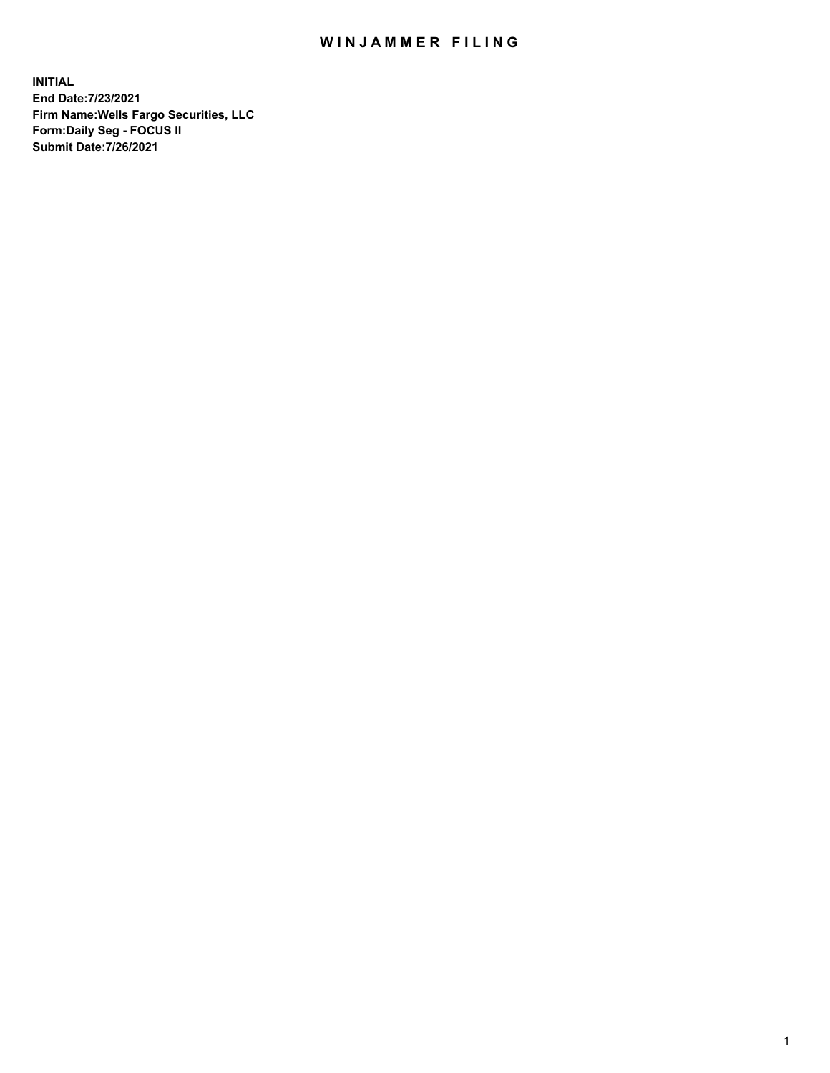## WIN JAMMER FILING

**INITIAL End Date:7/23/2021 Firm Name:Wells Fargo Securities, LLC Form:Daily Seg - FOCUS II Submit Date:7/26/2021**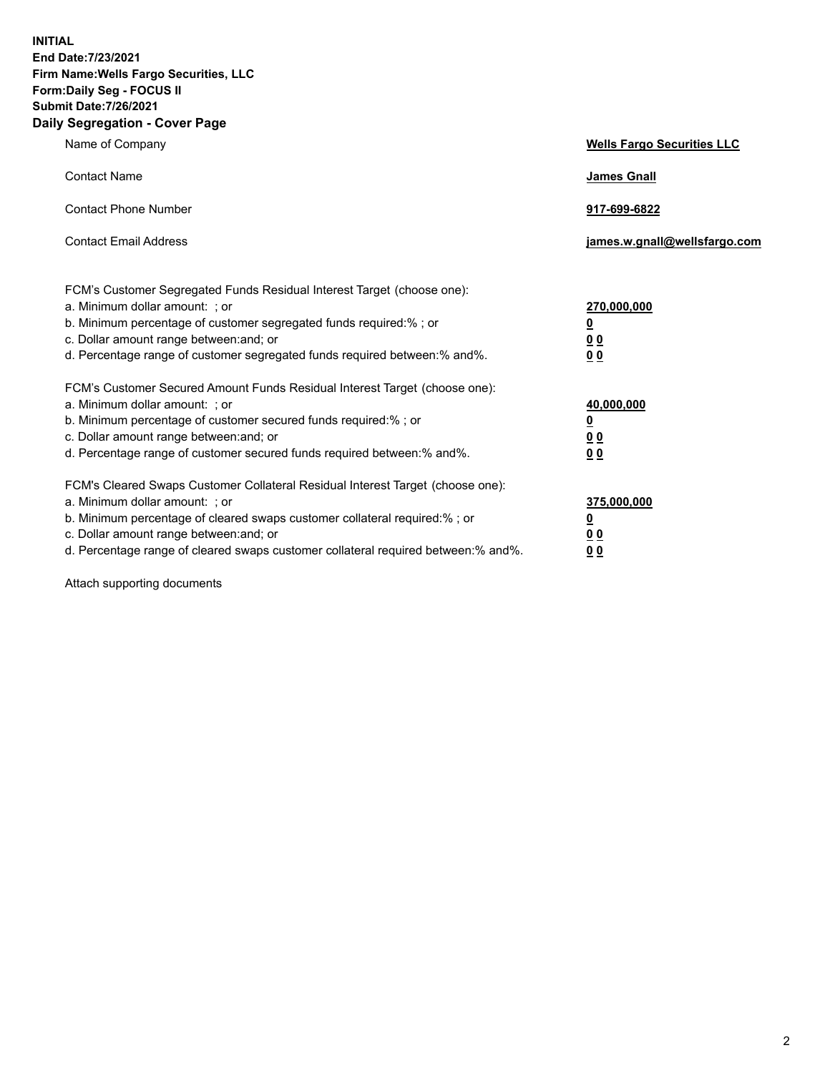**INITIAL End Date:7/23/2021 Firm Name:Wells Fargo Securities, LLC Form:Daily Seg - FOCUS II Submit Date:7/26/2021 Daily Segregation - Cover Page**

| Name of Company                                                                                                                                                                                                                                                                                                                | <b>Wells Fargo Securities LLC</b>                                         |
|--------------------------------------------------------------------------------------------------------------------------------------------------------------------------------------------------------------------------------------------------------------------------------------------------------------------------------|---------------------------------------------------------------------------|
| <b>Contact Name</b>                                                                                                                                                                                                                                                                                                            | <b>James Gnall</b>                                                        |
| <b>Contact Phone Number</b>                                                                                                                                                                                                                                                                                                    | 917-699-6822                                                              |
| <b>Contact Email Address</b>                                                                                                                                                                                                                                                                                                   | james.w.gnall@wellsfargo.com                                              |
| FCM's Customer Segregated Funds Residual Interest Target (choose one):<br>a. Minimum dollar amount: ; or<br>b. Minimum percentage of customer segregated funds required:% ; or<br>c. Dollar amount range between: and; or<br>d. Percentage range of customer segregated funds required between:% and%.                         | 270,000,000<br>$\overline{\mathbf{0}}$<br>0 <sub>0</sub><br>00            |
| FCM's Customer Secured Amount Funds Residual Interest Target (choose one):<br>a. Minimum dollar amount: ; or<br>b. Minimum percentage of customer secured funds required:%; or<br>c. Dollar amount range between: and; or<br>d. Percentage range of customer secured funds required between:% and%.                            | 40,000,000<br>$\overline{\mathbf{0}}$<br>0 <sub>0</sub><br>0 <sub>0</sub> |
| FCM's Cleared Swaps Customer Collateral Residual Interest Target (choose one):<br>a. Minimum dollar amount: ; or<br>b. Minimum percentage of cleared swaps customer collateral required:% ; or<br>c. Dollar amount range between: and; or<br>d. Percentage range of cleared swaps customer collateral required between:% and%. | 375,000,000<br><u>0</u><br>00<br>00                                       |

Attach supporting documents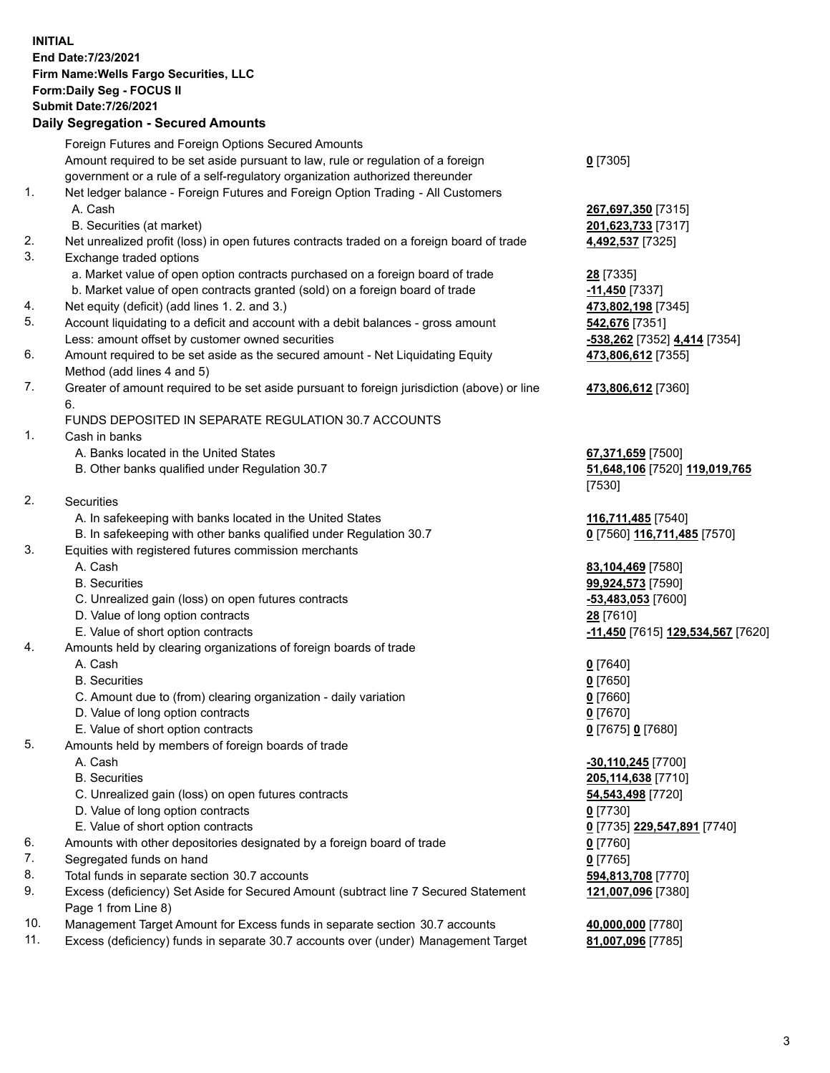**INITIAL End Date:7/23/2021 Firm Name:Wells Fargo Securities, LLC Form:Daily Seg - FOCUS II Submit Date:7/26/2021**

## **Daily Segregation - Secured Amounts**

|    | Foreign Futures and Foreign Options Secured Amounts                                                          |                                   |
|----|--------------------------------------------------------------------------------------------------------------|-----------------------------------|
|    | Amount required to be set aside pursuant to law, rule or regulation of a foreign                             | $0$ [7305]                        |
|    | government or a rule of a self-regulatory organization authorized thereunder                                 |                                   |
| 1. | Net ledger balance - Foreign Futures and Foreign Option Trading - All Customers                              |                                   |
|    | A. Cash                                                                                                      | 267,697,350 [7315]                |
|    | B. Securities (at market)                                                                                    | 201,623,733 [7317]                |
| 2. | Net unrealized profit (loss) in open futures contracts traded on a foreign board of trade                    | 4,492,537 [7325]                  |
| 3. |                                                                                                              |                                   |
|    | Exchange traded options                                                                                      |                                   |
|    | a. Market value of open option contracts purchased on a foreign board of trade                               | 28 [7335]                         |
|    | b. Market value of open contracts granted (sold) on a foreign board of trade                                 | $-11,450$ [7337]                  |
| 4. | Net equity (deficit) (add lines 1. 2. and 3.)                                                                | 473,802,198 [7345]                |
| 5. | Account liquidating to a deficit and account with a debit balances - gross amount                            | 542,676 [7351]                    |
|    | Less: amount offset by customer owned securities                                                             | -538,262 [7352] 4,414 [7354]      |
| 6. | Amount required to be set aside as the secured amount - Net Liquidating Equity<br>Method (add lines 4 and 5) | 473,806,612 [7355]                |
| 7. | Greater of amount required to be set aside pursuant to foreign jurisdiction (above) or line                  | 473,806,612 [7360]                |
|    | 6.                                                                                                           |                                   |
|    | FUNDS DEPOSITED IN SEPARATE REGULATION 30.7 ACCOUNTS                                                         |                                   |
| 1. | Cash in banks                                                                                                |                                   |
|    | A. Banks located in the United States                                                                        | 67,371,659 [7500]                 |
|    | B. Other banks qualified under Regulation 30.7                                                               | 51,648,106 [7520] 119,019,765     |
|    |                                                                                                              | [7530]                            |
| 2. | <b>Securities</b>                                                                                            |                                   |
|    | A. In safekeeping with banks located in the United States                                                    | 116,711,485 [7540]                |
|    | B. In safekeeping with other banks qualified under Regulation 30.7                                           | 0 [7560] 116,711,485 [7570]       |
| 3. | Equities with registered futures commission merchants                                                        |                                   |
|    | A. Cash                                                                                                      | 83,104,469 [7580]                 |
|    | <b>B.</b> Securities                                                                                         | 99,924,573 [7590]                 |
|    | C. Unrealized gain (loss) on open futures contracts                                                          | -53,483,053 [7600]                |
|    | D. Value of long option contracts                                                                            | 28 [7610]                         |
|    | E. Value of short option contracts                                                                           | -11,450 [7615] 129,534,567 [7620] |
| 4. | Amounts held by clearing organizations of foreign boards of trade                                            |                                   |
|    | A. Cash                                                                                                      | $0$ [7640]                        |
|    | <b>B.</b> Securities                                                                                         | $0$ [7650]                        |
|    | C. Amount due to (from) clearing organization - daily variation                                              | $0$ [7660]                        |
|    | D. Value of long option contracts                                                                            | $0$ [7670]                        |
|    | E. Value of short option contracts                                                                           | 0 [7675] 0 [7680]                 |
| 5. | Amounts held by members of foreign boards of trade                                                           |                                   |
|    | A. Cash                                                                                                      | -30,110,245 [7700]                |
|    | <b>B.</b> Securities                                                                                         | 205,114,638 [7710]                |
|    | C. Unrealized gain (loss) on open futures contracts                                                          | 54,543,498 [7720]                 |
|    | D. Value of long option contracts                                                                            | $0$ [7730]                        |
|    | E. Value of short option contracts                                                                           | 0 [7735] 229,547,891 [7740]       |
| 6. | Amounts with other depositories designated by a foreign board of trade                                       | 0 [7760]                          |
| 7. | Segregated funds on hand                                                                                     | $0$ [7765]                        |
| 8. | Total funds in separate section 30.7 accounts                                                                | 594,813,708 [7770]                |
| 9. | Excess (deficiency) Set Aside for Secured Amount (subtract line 7 Secured Statement                          | 121,007,096 [7380]                |
|    | Page 1 from Line 8)                                                                                          |                                   |
|    |                                                                                                              |                                   |

- 10. Management Target Amount for Excess funds in separate section 30.7 accounts **40,000,000** [7780]
- 11. Excess (deficiency) funds in separate 30.7 accounts over (under) Management Target **81,007,096** [7785]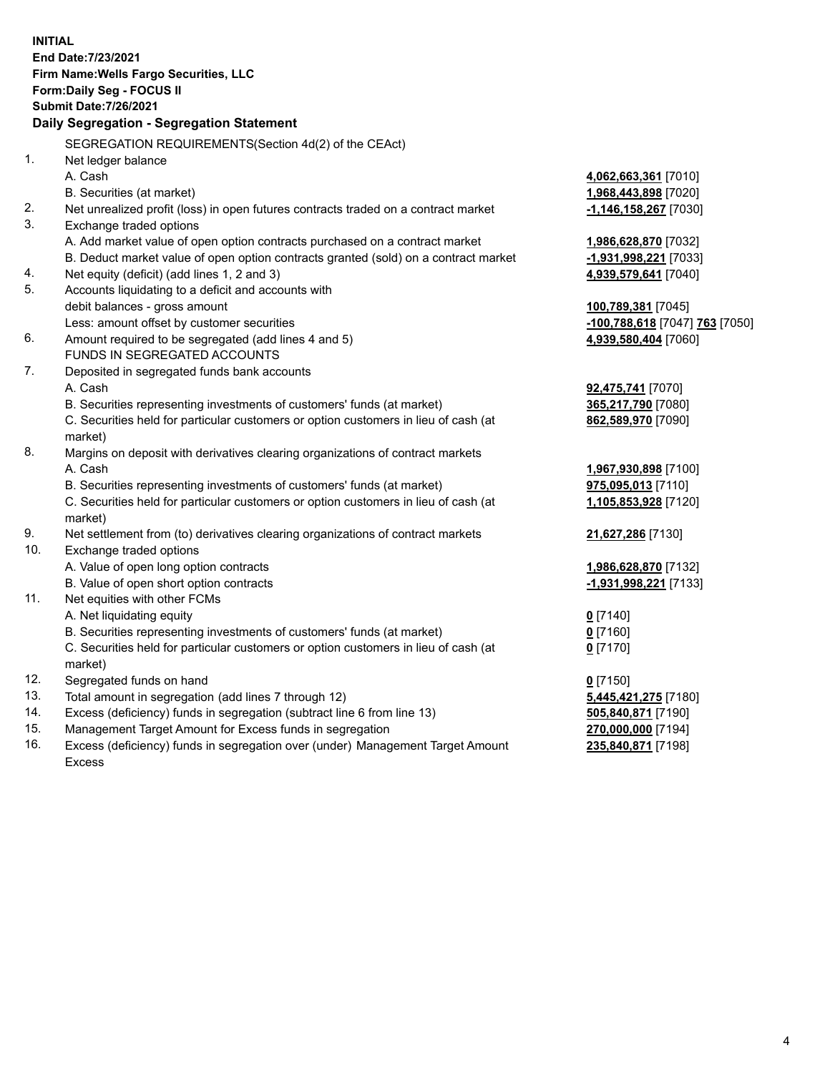**INITIAL End Date:7/23/2021 Firm Name:Wells Fargo Securities, LLC Form:Daily Seg - FOCUS II Submit Date:7/26/2021 Daily Segregation - Segregation Statement** SEGREGATION REQUIREMENTS(Section 4d(2) of the CEAct) 1. Net ledger balance A. Cash **4,062,663,361** [7010] B. Securities (at market) **1,968,443,898** [7020] 2. Net unrealized profit (loss) in open futures contracts traded on a contract market **-1,146,158,267** [7030] 3. Exchange traded options A. Add market value of open option contracts purchased on a contract market **1,986,628,870** [7032] B. Deduct market value of open option contracts granted (sold) on a contract market **-1,931,998,221** [7033] 4. Net equity (deficit) (add lines 1, 2 and 3) **4,939,579,641** [7040] 5. Accounts liquidating to a deficit and accounts with debit balances - gross amount **100,789,381** [7045] Less: amount offset by customer securities **-100,788,618** [7047] **763** [7050] 6. Amount required to be segregated (add lines 4 and 5) **4,939,580,404** [7060] FUNDS IN SEGREGATED ACCOUNTS 7. Deposited in segregated funds bank accounts A. Cash **92,475,741** [7070] B. Securities representing investments of customers' funds (at market) **365,217,790** [7080] C. Securities held for particular customers or option customers in lieu of cash (at market) **862,589,970** [7090] 8. Margins on deposit with derivatives clearing organizations of contract markets A. Cash **1,967,930,898** [7100] B. Securities representing investments of customers' funds (at market) **975,095,013** [7110] C. Securities held for particular customers or option customers in lieu of cash (at market) **1,105,853,928** [7120] 9. Net settlement from (to) derivatives clearing organizations of contract markets **21,627,286** [7130] 10. Exchange traded options A. Value of open long option contracts **1,986,628,870** [7132] B. Value of open short option contracts **-1,931,998,221** [7133] 11. Net equities with other FCMs A. Net liquidating equity **0** [7140] B. Securities representing investments of customers' funds (at market) **0** [7160] C. Securities held for particular customers or option customers in lieu of cash (at market) **0** [7170] 12. Segregated funds on hand **0** [7150] 13. Total amount in segregation (add lines 7 through 12) **5,445,421,275** [7180]

- 14. Excess (deficiency) funds in segregation (subtract line 6 from line 13) **505,840,871** [7190]
- 15. Management Target Amount for Excess funds in segregation **270,000,000** [7194]
- 16. Excess (deficiency) funds in segregation over (under) Management Target Amount Excess

**235,840,871** [7198]